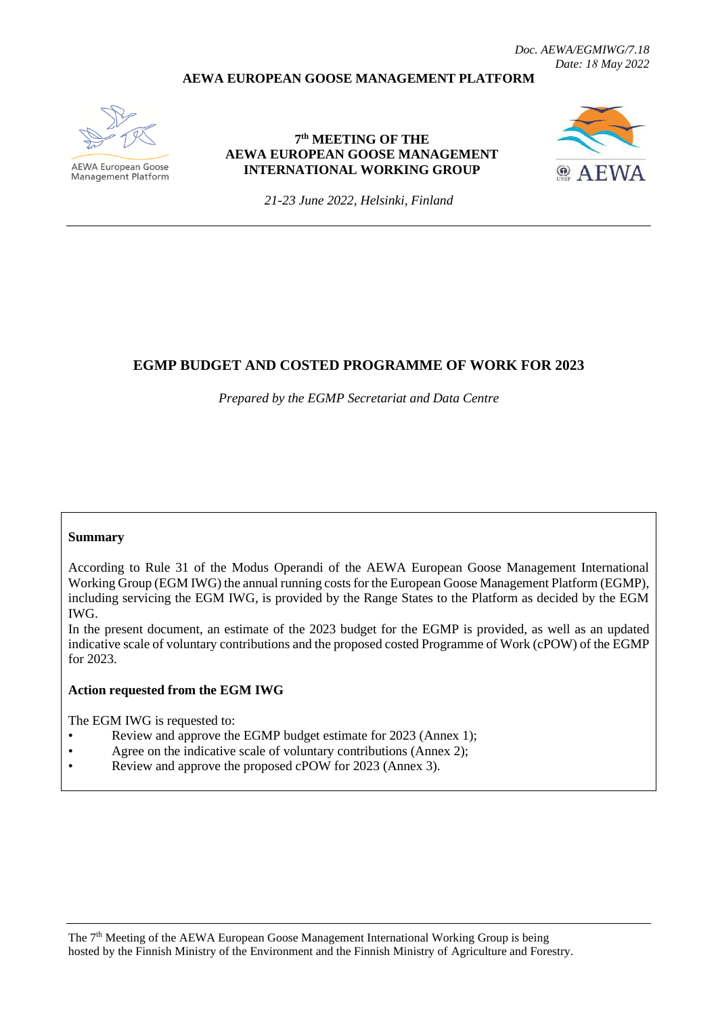### **AEWA EUROPEAN GOOSE MANAGEMENT PLATFORM**



AEWA European Goose Management Platform

### **7 th MEETING OF THE AEWA EUROPEAN GOOSE MANAGEMENT INTERNATIONAL WORKING GROUP**



*21-23 June 2022, Helsinki, Finland*

# **EGMP BUDGET AND COSTED PROGRAMME OF WORK FOR 2023**

*Prepared by the EGMP Secretariat and Data Centre*

#### **Summary**

According to Rule 31 of the Modus Operandi of the AEWA European Goose Management International Working Group (EGM IWG) the annual running costs for the European Goose Management Platform (EGMP), including servicing the EGM IWG, is provided by the Range States to the Platform as decided by the EGM IWG.

In the present document, an estimate of the 2023 budget for the EGMP is provided, as well as an updated indicative scale of voluntary contributions and the proposed costed Programme of Work (cPOW) of the EGMP for 2023.

#### **Action requested from the EGM IWG**

The EGM IWG is requested to:

- Review and approve the EGMP budget estimate for 2023 (Annex 1);
- Agree on the indicative scale of voluntary contributions (Annex 2);
- Review and approve the proposed cPOW for 2023 (Annex 3).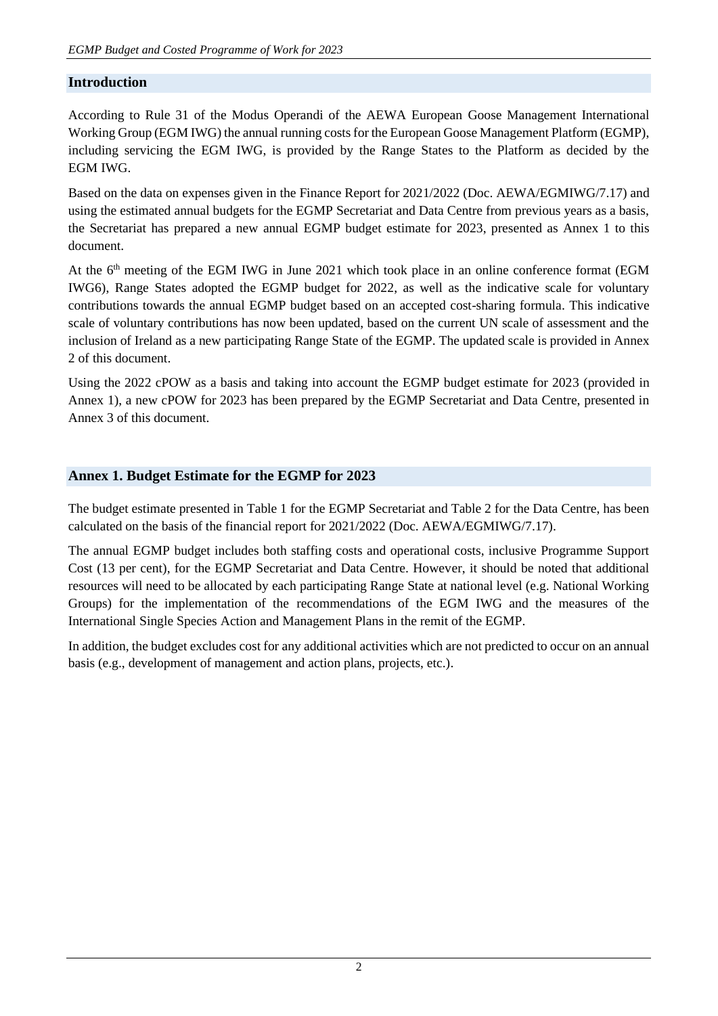# **Introduction**

According to Rule 31 of the Modus Operandi of the AEWA European Goose Management International Working Group (EGM IWG) the annual running costs for the European Goose Management Platform (EGMP), including servicing the EGM IWG, is provided by the Range States to the Platform as decided by the EGM IWG.

Based on the data on expenses given in the Finance Report for 2021/2022 (Doc. AEWA/EGMIWG/7.17) and using the estimated annual budgets for the EGMP Secretariat and Data Centre from previous years as a basis, the Secretariat has prepared a new annual EGMP budget estimate for 2023, presented as Annex 1 to this document.

At the 6<sup>th</sup> meeting of the EGM IWG in June 2021 which took place in an online conference format (EGM IWG6), Range States adopted the EGMP budget for 2022, as well as the indicative scale for voluntary contributions towards the annual EGMP budget based on an accepted cost-sharing formula. This indicative scale of voluntary contributions has now been updated, based on the current UN scale of assessment and the inclusion of Ireland as a new participating Range State of the EGMP. The updated scale is provided in Annex 2 of this document.

Using the 2022 cPOW as a basis and taking into account the EGMP budget estimate for 2023 (provided in Annex 1), a new cPOW for 2023 has been prepared by the EGMP Secretariat and Data Centre, presented in Annex 3 of this document.

# **Annex 1. Budget Estimate for the EGMP for 2023**

The budget estimate presented in Table 1 for the EGMP Secretariat and Table 2 for the Data Centre, has been calculated on the basis of the financial report for 2021/2022 (Doc. AEWA/EGMIWG/7.17).

The annual EGMP budget includes both staffing costs and operational costs, inclusive Programme Support Cost (13 per cent), for the EGMP Secretariat and Data Centre. However, it should be noted that additional resources will need to be allocated by each participating Range State at national level (e.g. National Working Groups) for the implementation of the recommendations of the EGM IWG and the measures of the International Single Species Action and Management Plans in the remit of the EGMP.

In addition, the budget excludes cost for any additional activities which are not predicted to occur on an annual basis (e.g., development of management and action plans, projects, etc.).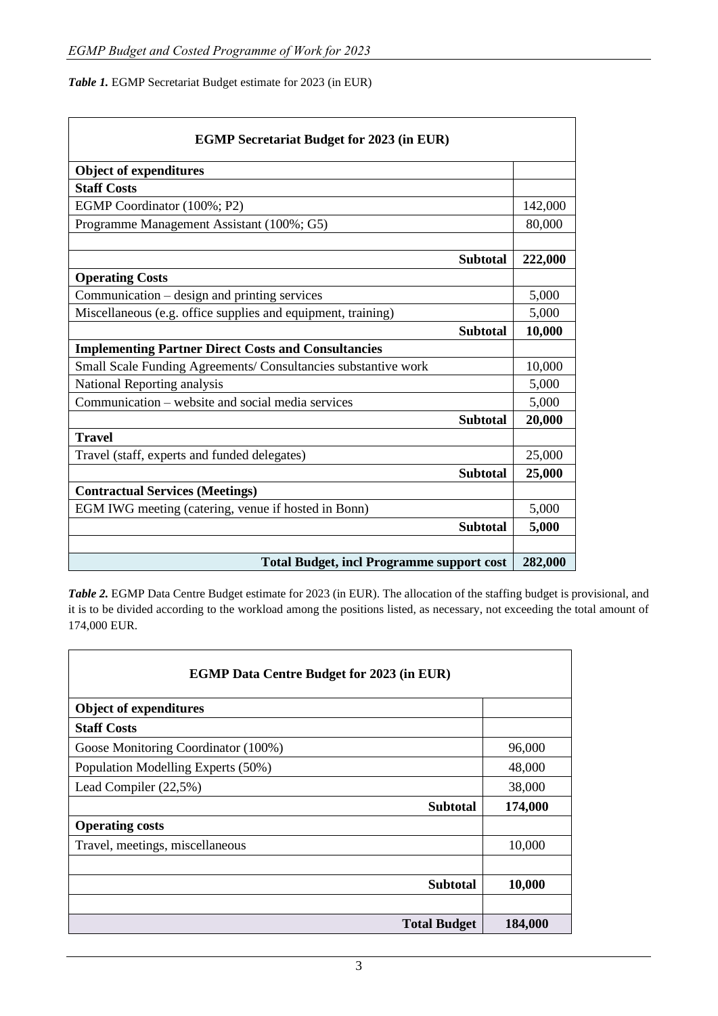*Table 1.* EGMP Secretariat Budget estimate for 2023 (in EUR)

| <b>EGMP Secretariat Budget for 2023 (in EUR)</b>               |         |  |  |  |  |
|----------------------------------------------------------------|---------|--|--|--|--|
| <b>Object of expenditures</b>                                  |         |  |  |  |  |
| <b>Staff Costs</b>                                             |         |  |  |  |  |
| EGMP Coordinator (100%; P2)                                    | 142,000 |  |  |  |  |
| Programme Management Assistant (100%; G5)                      | 80,000  |  |  |  |  |
|                                                                |         |  |  |  |  |
| <b>Subtotal</b>                                                | 222,000 |  |  |  |  |
| <b>Operating Costs</b>                                         |         |  |  |  |  |
| Communication – design and printing services                   | 5,000   |  |  |  |  |
| Miscellaneous (e.g. office supplies and equipment, training)   | 5,000   |  |  |  |  |
| <b>Subtotal</b>                                                | 10,000  |  |  |  |  |
| <b>Implementing Partner Direct Costs and Consultancies</b>     |         |  |  |  |  |
| Small Scale Funding Agreements/ Consultancies substantive work | 10,000  |  |  |  |  |
| National Reporting analysis                                    | 5,000   |  |  |  |  |
| Communication – website and social media services              | 5,000   |  |  |  |  |
| <b>Subtotal</b>                                                | 20,000  |  |  |  |  |
| <b>Travel</b>                                                  |         |  |  |  |  |
| Travel (staff, experts and funded delegates)                   | 25,000  |  |  |  |  |
| <b>Subtotal</b>                                                | 25,000  |  |  |  |  |
| <b>Contractual Services (Meetings)</b>                         |         |  |  |  |  |
| EGM IWG meeting (catering, venue if hosted in Bonn)            | 5,000   |  |  |  |  |
| <b>Subtotal</b>                                                | 5,000   |  |  |  |  |
|                                                                |         |  |  |  |  |
| <b>Total Budget, incl Programme support cost</b>               |         |  |  |  |  |

*Table 2.* EGMP Data Centre Budget estimate for 2023 (in EUR). The allocation of the staffing budget is provisional, and it is to be divided according to the workload among the positions listed, as necessary, not exceeding the total amount of 174,000 EUR.

| <b>EGMP Data Centre Budget for 2023 (in EUR)</b> |         |  |  |  |  |
|--------------------------------------------------|---------|--|--|--|--|
| <b>Object of expenditures</b>                    |         |  |  |  |  |
| <b>Staff Costs</b>                               |         |  |  |  |  |
| Goose Monitoring Coordinator (100%)              | 96,000  |  |  |  |  |
| Population Modelling Experts (50%)               | 48,000  |  |  |  |  |
| Lead Compiler (22,5%)                            | 38,000  |  |  |  |  |
| <b>Subtotal</b>                                  | 174,000 |  |  |  |  |
| <b>Operating costs</b>                           |         |  |  |  |  |
| Travel, meetings, miscellaneous                  | 10,000  |  |  |  |  |
|                                                  |         |  |  |  |  |
| <b>Subtotal</b>                                  | 10,000  |  |  |  |  |
|                                                  |         |  |  |  |  |
| <b>Total Budget</b>                              | 184,000 |  |  |  |  |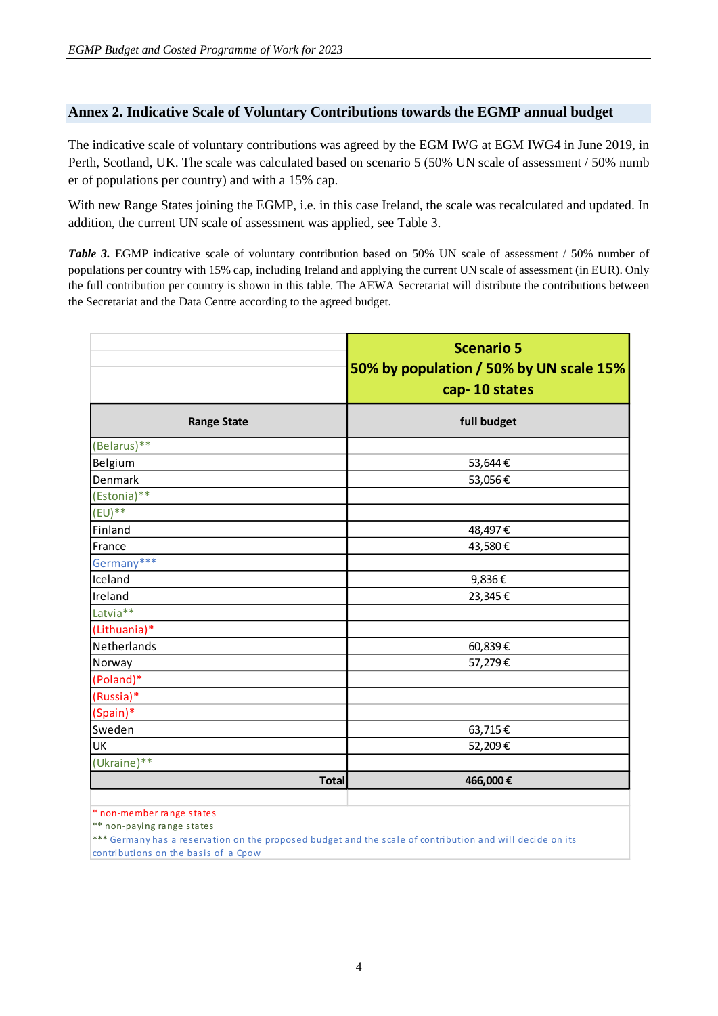# **Annex 2. Indicative Scale of Voluntary Contributions towards the EGMP annual budget**

The indicative scale of voluntary contributions was agreed by the EGM IWG at EGM IWG4 in June 2019, in Perth, Scotland, UK. The scale was calculated based on scenario 5 (50% UN scale of assessment / 50% numb er of populations per country) and with a 15% cap.

With new Range States joining the EGMP, i.e. in this case Ireland, the scale was recalculated and updated. In addition, the current UN scale of assessment was applied, see Table 3.

*Table 3.* EGMP indicative scale of voluntary contribution based on 50% UN scale of assessment / 50% number of populations per country with 15% cap, including Ireland and applying the current UN scale of assessment (in EUR). Only the full contribution per country is shown in this table. The AEWA Secretariat will distribute the contributions between the Secretariat and the Data Centre according to the agreed budget.

|                                                        | <b>Scenario 5</b><br>50% by population / 50% by UN scale 15%<br>cap-10 states |
|--------------------------------------------------------|-------------------------------------------------------------------------------|
| <b>Range State</b>                                     | full budget                                                                   |
| (Belarus)**                                            |                                                                               |
| Belgium                                                | 53,644€                                                                       |
| Denmark                                                | 53,056€                                                                       |
| (Estonia)**                                            |                                                                               |
| $(EU)$ **                                              |                                                                               |
| Finland                                                | 48,497€                                                                       |
| France                                                 | 43,580€                                                                       |
| Germany***                                             |                                                                               |
| Iceland                                                | 9,836€                                                                        |
| Ireland                                                | 23,345€                                                                       |
| Latvia**                                               |                                                                               |
| (Lithuania)*                                           |                                                                               |
| Netherlands                                            | 60,839€                                                                       |
| Norway                                                 | 57,279€                                                                       |
| (Poland)*                                              |                                                                               |
| (Russia)*                                              |                                                                               |
| (Spain)*                                               |                                                                               |
| Sweden                                                 | 63,715€                                                                       |
| UK                                                     | 52,209€                                                                       |
| (Ukraine)**                                            |                                                                               |
| <b>Total</b>                                           | 466,000€                                                                      |
| متحققه والمتعامل ومراماتها والموامين والمترامين والأرا |                                                                               |

non-member range states

\*\* non-paying range states

\*\*\* Germany has a reservation on the proposed budget and the scale of contribution and will decide on its contributions on the basis of a Cpow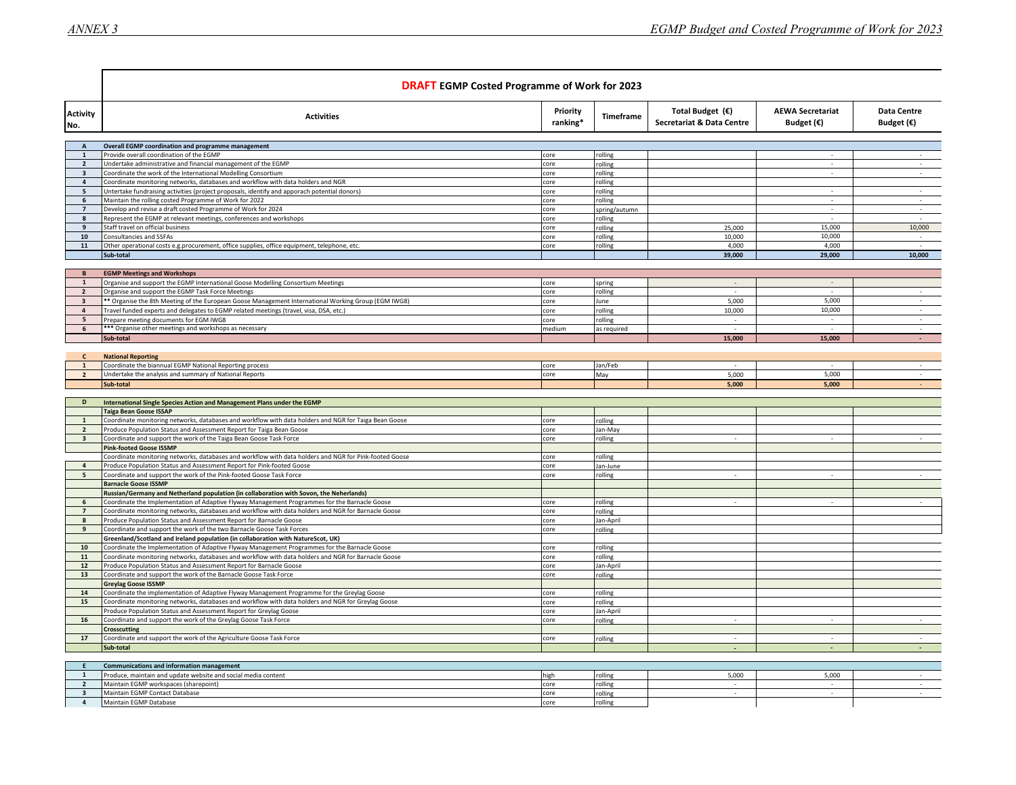|                                                    | <b>DRAFT</b> EGMP Costed Programme of Work for 2023                                                                                                                               |                      |                          |                                                 |                                                |                                           |
|----------------------------------------------------|-----------------------------------------------------------------------------------------------------------------------------------------------------------------------------------|----------------------|--------------------------|-------------------------------------------------|------------------------------------------------|-------------------------------------------|
| <b>Activity</b><br>No.                             | <b>Activities</b>                                                                                                                                                                 | Priority<br>ranking* | Timeframe                | Total Budget $(E)$<br>Secretariat & Data Centre | <b>AEWA Secretariat</b><br>Budget $(\epsilon)$ | <b>Data Centre</b><br>Budget $(\epsilon)$ |
|                                                    |                                                                                                                                                                                   |                      |                          |                                                 |                                                |                                           |
| $\overline{A}$<br>$\mathbf{1}$                     | Overall EGMP coordination and programme management<br>Provide overall coordination of the EGMP                                                                                    | core                 | rolling                  |                                                 |                                                |                                           |
| $\overline{2}$                                     | Undertake administrative and financial management of the EGMP                                                                                                                     | core                 | rolling                  |                                                 |                                                |                                           |
| $\overline{\mathbf{3}}$                            | Coordinate the work of the International Modelling Consortium                                                                                                                     | core                 | rolling                  |                                                 | $\overline{\phantom{a}}$                       | $\sim$                                    |
| $\overline{a}$                                     | Coordinate monitoring networks, databases and workflow with data holders and NGR                                                                                                  | core                 | rolling                  |                                                 |                                                |                                           |
| 5                                                  | Untertake fundraising activities (project proposals, identify and apporach potential donors)                                                                                      | core                 | rolling                  |                                                 |                                                | $\mathcal{L}_{\mathcal{A}}$               |
| 6<br>$\overline{7}$                                | Maintain the rolling costed Programme of Work for 2022<br>Develop and revise a draft costed Programme of Work for 2024                                                            | core<br>core         | rolling<br>spring/autumn |                                                 |                                                | $\sim$<br>÷.                              |
| $\mathbf{8}$                                       | Represent the EGMP at relevant meetings, conferences and workshops                                                                                                                | core                 | rolling                  |                                                 |                                                |                                           |
| 9                                                  | Staff travel on official business                                                                                                                                                 | core                 | rolling                  | 25,000                                          | 15,000                                         | 10,000                                    |
| 10                                                 | Consultancies and SSFAs                                                                                                                                                           | core                 | rolling                  | 10,000                                          | 10,000                                         |                                           |
| 11                                                 | Other operational costs e.g.procurement, office supplies, office equipment, telephone, etc.                                                                                       | core                 | rolling                  | 4.000                                           | 4,000                                          |                                           |
|                                                    | Sub-total                                                                                                                                                                         |                      |                          | 39,000                                          | 29,000                                         | 10,000                                    |
| B                                                  | <b>EGMP Meetings and Workshops</b>                                                                                                                                                |                      |                          |                                                 |                                                |                                           |
| $\mathbf{1}$                                       | Organise and support the EGMP International Goose Modelling Consortium Meetings                                                                                                   | core                 | spring                   | $\sim$                                          | $\sim$                                         |                                           |
| $\overline{2}$                                     | Organise and support the EGMP Task Force Meetings                                                                                                                                 | core                 | rolling                  |                                                 |                                                | $\mathcal{L}$                             |
| $\overline{\mathbf{3}}$                            | ** Organise the 8th Meeting of the European Goose Management International Working Group (EGM IWG8)                                                                               | core                 | June                     | 5,000                                           | 5,000                                          | $\sim$                                    |
|                                                    | Travel funded experts and delegates to EGMP related meetings (travel, visa, DSA, etc.)                                                                                            | core                 | rolling                  | 10,000                                          | 10,000                                         | $\sim$                                    |
|                                                    | Prepare meeting documents for EGM IWG8<br>*** Organise other meetings and workshops as necessary                                                                                  | core                 | rolling                  |                                                 |                                                |                                           |
| 6                                                  | Sub-total                                                                                                                                                                         | medium               | as required              | $\sim$<br>15,000                                | 15,000                                         | $\sim$<br>$\sim$                          |
|                                                    |                                                                                                                                                                                   |                      |                          |                                                 |                                                |                                           |
| $\mathsf{C}$                                       | <b>National Reporting</b>                                                                                                                                                         |                      |                          |                                                 |                                                |                                           |
| $\mathbf{1}$                                       | Coordinate the biannual EGMP National Reporting process                                                                                                                           | core                 | Jan/Feb                  |                                                 |                                                | $\sim$                                    |
| $\overline{2}$                                     | Undertake the analysis and summary of National Reports                                                                                                                            | core                 | May                      | 5,000                                           | 5.000                                          | $\sim$                                    |
|                                                    | Sub-total                                                                                                                                                                         |                      |                          | 5,000                                           | 5,000                                          |                                           |
| D                                                  | International Single Species Action and Management Plans under the EGMP                                                                                                           |                      |                          |                                                 |                                                |                                           |
|                                                    | Taiga Bean Goose ISSAP                                                                                                                                                            |                      |                          |                                                 |                                                |                                           |
|                                                    | Coordinate monitoring networks, databases and workflow with data holders and NGR for Taiga Bean Goose                                                                             | core                 | rolling                  |                                                 |                                                |                                           |
|                                                    |                                                                                                                                                                                   |                      | Jan-May                  |                                                 |                                                |                                           |
| $\overline{2}$                                     | Produce Population Status and Assessment Report for Taiga Bean Goose                                                                                                              | core                 |                          |                                                 |                                                |                                           |
| $\overline{\mathbf{3}}$                            | Coordinate and support the work of the Taiga Bean Goose Task Force                                                                                                                | core                 | rolling                  |                                                 |                                                |                                           |
|                                                    | <b>Pink-footed Goose ISSMP</b>                                                                                                                                                    |                      |                          |                                                 |                                                |                                           |
|                                                    | Coordinate monitoring networks, databases and workflow with data holders and NGR for Pink-footed Goose                                                                            | core                 | rolling                  |                                                 |                                                |                                           |
| $\overline{a}$                                     | Produce Population Status and Assessment Report for Pink-footed Goose<br>Coordinate and support the work of the Pink-footed Goose Task Force                                      | core<br>core         | Jan-June<br>rolling      |                                                 |                                                |                                           |
|                                                    | <b>Barnacle Goose ISSMP</b>                                                                                                                                                       |                      |                          |                                                 |                                                |                                           |
|                                                    | Russian/Germany and Netherland population (in collaboration with Sovon, the Neherlands)                                                                                           |                      |                          |                                                 |                                                |                                           |
| 6                                                  | Coordinate the Implementation of Adaptive Flyway Management Programmes for the Barnacle Goose                                                                                     | core                 | rolling                  |                                                 |                                                |                                           |
| $\overline{7}$                                     | Coordinate monitoring networks, databases and workflow with data holders and NGR for Barnacle Goose                                                                               | core                 | rolling                  |                                                 |                                                |                                           |
| 8                                                  | Produce Population Status and Assessment Report for Barnacle Goose                                                                                                                | core                 | Jan-April                |                                                 |                                                |                                           |
| $\mathbf{g}$                                       | Coordinate and support the work of the two Barnacle Goose Task Forces                                                                                                             | core                 | rolling                  |                                                 |                                                |                                           |
| $10$                                               | Greenland/Scotland and Ireland population (in collaboration with NatureScot, UK)<br>Coordinate the Implementation of Adaptive Flyway Management Programmes for the Barnacle Goose | core                 | rolling                  |                                                 |                                                |                                           |
| 11                                                 | Coordinate monitoring networks, databases and workflow with data holders and NGR for Barnacle Goose                                                                               | core                 | rolling                  |                                                 |                                                |                                           |
| 12                                                 | Produce Population Status and Assessment Report for Barnacle Goose                                                                                                                | core                 | Jan-April                |                                                 |                                                |                                           |
| 13                                                 | Coordinate and support the work of the Barnacle Goose Task Force                                                                                                                  | core                 | rolling                  |                                                 |                                                |                                           |
|                                                    | <b>Greylag Goose ISSMP</b>                                                                                                                                                        |                      |                          |                                                 |                                                |                                           |
| 14                                                 | Coordinate the implementation of Adaptive Flyway Management Programme for the Greylag Goose                                                                                       | core                 | rolling                  |                                                 |                                                |                                           |
| 15                                                 | Coordinate monitoring networks, databases and workflow with data holders and NGR for Greylag Goose<br>Produce Population Status and Assessment Report for Greylag Goose           | core<br>core         | rolling<br>Jan-April     |                                                 |                                                |                                           |
| 16                                                 | Coordinate and support the work of the Greylag Goose Task Force                                                                                                                   | core                 | rolling                  |                                                 |                                                |                                           |
|                                                    | <b>Crosscutting</b>                                                                                                                                                               |                      |                          |                                                 |                                                |                                           |
| 17                                                 | Coordinate and support the work of the Agriculture Goose Task Force                                                                                                               | core                 | rolling                  | $\sim$                                          |                                                | $\sim$                                    |
|                                                    | Sub-total                                                                                                                                                                         |                      |                          |                                                 |                                                |                                           |
| E                                                  |                                                                                                                                                                                   |                      |                          |                                                 |                                                |                                           |
| 1                                                  | <b>Communications and information management</b>                                                                                                                                  | high                 | rolling                  | 5,000                                           | 5,000                                          | $\sim$                                    |
| $\overline{2}$                                     | Produce, maintain and update website and social media content<br>Maintain EGMP workspaces (sharepoint)                                                                            | core                 | rolling                  | $\sim$                                          | $\sim$                                         | $\sim$                                    |
| $\overline{\mathbf{3}}$<br>$\overline{\mathbf{4}}$ | Maintain EGMP Contact Database<br>Maintain EGMP Database                                                                                                                          | core<br>core         | rolling<br>rolling       | $\sim$                                          | $\sim$                                         | $\sim$                                    |